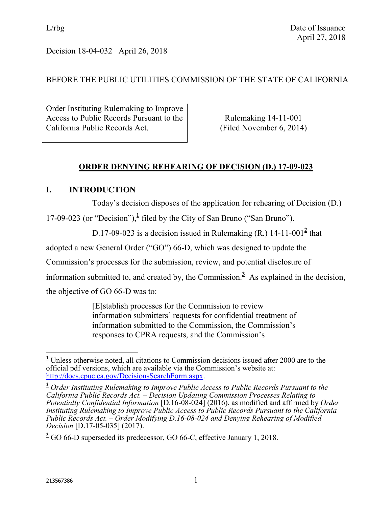Decision 18-04-032 April 26, 2018

# BEFORE THE PUBLIC UTILITIES COMMISSION OF THE STATE OF CALIFORNIA

Order Instituting Rulemaking to Improve Access to Public Records Pursuant to the California Public Records Act.

Rulemaking 14-11-001 (Filed November 6, 2014)

# **ORDER DENYING REHEARING OF DECISION (D.) 17-09-023**

## **I. INTRODUCTION**

Today's decision disposes of the application for rehearing of Decision (D.)

17-09-023 (or "Decision"),**<sup>1</sup>** filed by the City of San Bruno ("San Bruno").

D.17-09-023 is a decision issued in Rulemaking  $(R)$  14-11-001<sup>2</sup> that

adopted a new General Order ("GO") 66-D, which was designed to update the

Commission's processes for the submission, review, and potential disclosure of

information submitted to, and created by, the Commission.<sup>3</sup> As explained in the decision,

the objective of GO 66-D was to:

[E]stablish processes for the Commission to review information submitters' requests for confidential treatment of information submitted to the Commission, the Commission's responses to CPRA requests, and the Commission's

 $\overline{\phantom{a}}$ **<sup>1</sup>** Unless otherwise noted, all citations to Commission decisions issued after 2000 are to the official pdf versions, which are available via the Commission's website at: [http://docs.cpuc.ca.gov/DecisionsSearchForm.aspx.](http://docs.cpuc.ca.gov/DecisionsSearchForm.aspx)

**<sup>2</sup>** *Order Instituting Rulemaking to Improve Public Access to Public Records Pursuant to the California Public Records Act. – Decision Updating Commission Processes Relating to Potentially Confidential Information* [D.16-08-024] (2016), as modified and affirmed by *Order Instituting Rulemaking to Improve Public Access to Public Records Pursuant to the California Public Records Act. – Order Modifying D.16-08-024 and Denying Rehearing of Modified Decision* [D.17-05-035] (2017).

**<sup>3</sup>** GO 66-D superseded its predecessor, GO 66-C, effective January 1, 2018.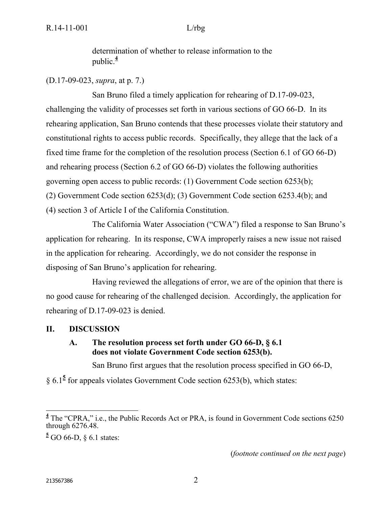determination of whether to release information to the public. $\frac{4}{7}$ 

## (D.17-09-023, *supra*, at p. 7.)

San Bruno filed a timely application for rehearing of D.17-09-023, challenging the validity of processes set forth in various sections of GO 66-D. In its rehearing application, San Bruno contends that these processes violate their statutory and constitutional rights to access public records. Specifically, they allege that the lack of a fixed time frame for the completion of the resolution process (Section 6.1 of GO 66-D) and rehearing process (Section 6.2 of GO 66-D) violates the following authorities governing open access to public records: (1) Government Code section 6253(b); (2) Government Code section 6253(d); (3) Government Code section 6253.4(b); and (4) section 3 of Article I of the California Constitution.

The California Water Association ("CWA") filed a response to San Bruno's application for rehearing. In its response, CWA improperly raises a new issue not raised in the application for rehearing. Accordingly, we do not consider the response in disposing of San Bruno's application for rehearing.

Having reviewed the allegations of error, we are of the opinion that there is no good cause for rehearing of the challenged decision. Accordingly, the application for rehearing of D.17-09-023 is denied.

### **II. DISCUSSION**

## **A. The resolution process set forth under GO 66-D, § 6.1 does not violate Government Code section 6253(b).**

San Bruno first argues that the resolution process specified in GO 66-D,

§ 6.1<sup>5</sup> for appeals violates Government Code section 6253(b), which states:

(*footnote continued on the next page*)

<sup>&</sup>lt;sup>4</sup> The "CPRA," i.e., the Public Records Act or PRA, is found in Government Code sections 6250 through 6276.48.

**<sup>5</sup>** GO 66-D, § 6.1 states: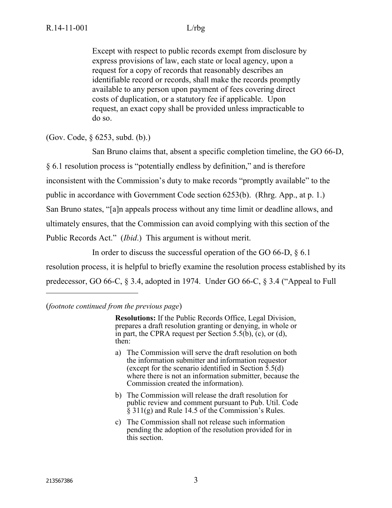Except with respect to public records exempt from disclosure by express provisions of law, each state or local agency, upon a request for a copy of records that reasonably describes an identifiable record or records, shall make the records promptly available to any person upon payment of fees covering direct costs of duplication, or a statutory fee if applicable. Upon request, an exact copy shall be provided unless impracticable to do so.

(Gov. Code, § 6253, subd. (b).)

San Bruno claims that, absent a specific completion timeline, the GO 66-D, § 6.1 resolution process is "potentially endless by definition," and is therefore inconsistent with the Commission's duty to make records "promptly available" to the public in accordance with Government Code section 6253(b). (Rhrg. App., at p. 1.) San Bruno states, "[a]n appeals process without any time limit or deadline allows, and ultimately ensures, that the Commission can avoid complying with this section of the Public Records Act." (*Ibid*.) This argument is without merit.

In order to discuss the successful operation of the GO 66-D, § 6.1 resolution process, it is helpful to briefly examine the resolution process established by its predecessor, GO 66-C, § 3.4, adopted in 1974. Under GO 66-C, § 3.4 ("Appeal to Full

### (*footnote continued from the previous page*)

**Resolutions:** If the Public Records Office, Legal Division, prepares a draft resolution granting or denying, in whole or in part, the CPRA request per Section 5.5(b),  $(c)$ , or (d), then:

- a) The Commission will serve the draft resolution on both the information submitter and information requestor (except for the scenario identified in Section  $\bar{5}$ .5(d) where there is not an information submitter, because the Commission created the information).
- b) The Commission will release the draft resolution for public review and comment pursuant to Pub. Util. Code  $\S$  311(g) and Rule 14.5 of the Commission's Rules.
- c) The Commission shall not release such information pending the adoption of the resolution provided for in this section.

 $\overline{a}$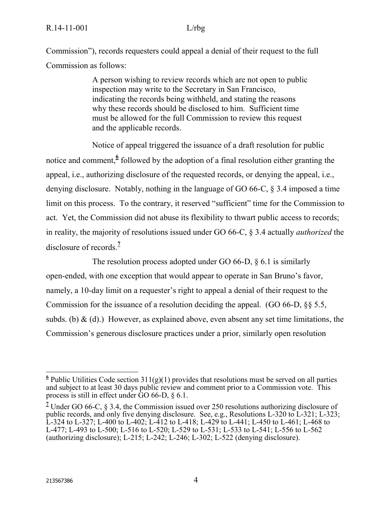Commission"), records requesters could appeal a denial of their request to the full Commission as follows:

> A person wishing to review records which are not open to public inspection may write to the Secretary in San Francisco, indicating the records being withheld, and stating the reasons why these records should be disclosed to him. Sufficient time must be allowed for the full Commission to review this request and the applicable records.

Notice of appeal triggered the issuance of a draft resolution for public notice and comment, <sup>6</sup> followed by the adoption of a final resolution either granting the appeal, i.e., authorizing disclosure of the requested records, or denying the appeal, i.e., denying disclosure. Notably, nothing in the language of GO 66-C, § 3.4 imposed a time limit on this process. To the contrary, it reserved "sufficient" time for the Commission to act. Yet, the Commission did not abuse its flexibility to thwart public access to records; in reality, the majority of resolutions issued under GO 66-C, § 3.4 actually *authorized* the disclosure of records.**<sup>7</sup>**

The resolution process adopted under GO 66-D,  $\&$  6.1 is similarly open-ended, with one exception that would appear to operate in San Bruno's favor, namely, a 10-day limit on a requester's right to appeal a denial of their request to the Commission for the issuance of a resolution deciding the appeal. (GO 66-D, §§ 5.5, subds. (b)  $\&$  (d).) However, as explained above, even absent any set time limitations, the Commission's generous disclosure practices under a prior, similarly open resolution

<sup>&</sup>lt;sup>6</sup><br><sup>6</sup> Public Utilities Code section 311(g)(1) provides that resolutions must be served on all parties and subject to at least 30 days public review and comment prior to a Commission vote. This process is still in effect under GO 66-D, § 6.1.

**<sup>7</sup>** Under GO 66-C, § 3.4, the Commission issued over 250 resolutions authorizing disclosure of public records, and only five denying disclosure. See, e.g., Resolutions L-320 to L-321; L-323; L-324 to L-327; L-400 to L-402; L-412 to L-418; L-429 to L-441; L-450 to L-461; L-468 to L-477; L-493 to L-500; L-516 to L-520; L-529 to L-531; L-533 to L-541; L-556 to L-562 (authorizing disclosure); L-215; L-242; L-246; L-302; L-522 (denying disclosure).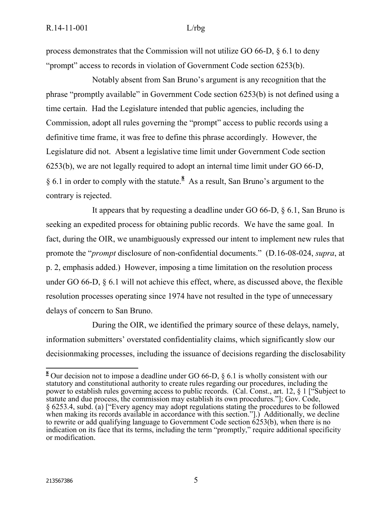process demonstrates that the Commission will not utilize GO 66-D, § 6.1 to deny "prompt" access to records in violation of Government Code section 6253(b).

Notably absent from San Bruno's argument is any recognition that the phrase "promptly available" in Government Code section 6253(b) is not defined using a time certain. Had the Legislature intended that public agencies, including the Commission, adopt all rules governing the "prompt" access to public records using a definitive time frame, it was free to define this phrase accordingly. However, the Legislature did not. Absent a legislative time limit under Government Code section 6253(b), we are not legally required to adopt an internal time limit under GO 66-D, § 6.1 in order to comply with the statute.<sup>8</sup> As a result, San Bruno's argument to the contrary is rejected.

It appears that by requesting a deadline under GO 66-D, § 6.1, San Bruno is seeking an expedited process for obtaining public records. We have the same goal. In fact, during the OIR, we unambiguously expressed our intent to implement new rules that promote the "*prompt* disclosure of non-confidential documents." (D.16-08-024, *supra*, at p. 2, emphasis added.) However, imposing a time limitation on the resolution process under GO 66-D, § 6.1 will not achieve this effect, where, as discussed above, the flexible resolution processes operating since 1974 have not resulted in the type of unnecessary delays of concern to San Bruno.

During the OIR, we identified the primary source of these delays, namely, information submitters' overstated confidentiality claims, which significantly slow our decisionmaking processes, including the issuance of decisions regarding the disclosability

 $\overline{\phantom{a}}$ 

**<sup>8</sup>** Our decision not to impose a deadline under GO 66-D, § 6.1 is wholly consistent with our statutory and constitutional authority to create rules regarding our procedures, including the power to establish rules governing access to public records. (Cal. Const., art. 12, § 1 ["Subject to statute and due process, the commission may establish its own procedures."]; Gov. Code, § 6253.4, subd. (a) ["Every agency may adopt regulations stating the procedures to be followed when making its records available in accordance with this section."[1] Additionally, we decline to rewrite or add qualifying language to Government Code section  $6253(b)$ , when there is no indication on its face that its terms, including the term "promptly," require additional specificity or modification.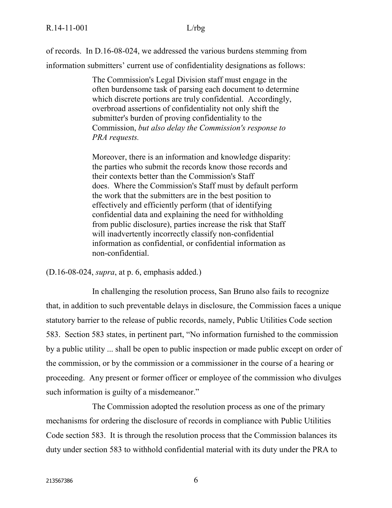of records. In D.16-08-024, we addressed the various burdens stemming from information submitters' current use of confidentiality designations as follows:

> The Commission's Legal Division staff must engage in the often burdensome task of parsing each document to determine which discrete portions are truly confidential. Accordingly, overbroad assertions of confidentiality not only shift the submitter's burden of proving confidentiality to the Commission, *but also delay the Commission's response to PRA requests.*

> Moreover, there is an information and knowledge disparity: the parties who submit the records know those records and their contexts better than the Commission's Staff does. Where the Commission's Staff must by default perform the work that the submitters are in the best position to effectively and efficiently perform (that of identifying confidential data and explaining the need for withholding from public disclosure), parties increase the risk that Staff will inadvertently incorrectly classify non-confidential information as confidential, or confidential information as non-confidential.

(D.16-08-024, *supra*, at p. 6, emphasis added.)

In challenging the resolution process, San Bruno also fails to recognize that, in addition to such preventable delays in disclosure, the Commission faces a unique statutory barrier to the release of public records, namely, Public Utilities Code section 583. Section 583 states, in pertinent part, "No information furnished to the commission by a public utility ... shall be open to public inspection or made public except on order of the commission, or by the commission or a commissioner in the course of a hearing or proceeding. Any present or former officer or employee of the commission who divulges such information is guilty of a misdemeanor."

The Commission adopted the resolution process as one of the primary mechanisms for ordering the disclosure of records in compliance with Public Utilities Code section 583. It is through the resolution process that the Commission balances its duty under section 583 to withhold confidential material with its duty under the PRA to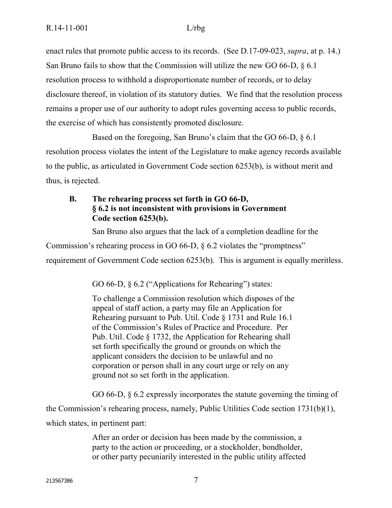enact rules that promote public access to its records. (See D.17-09-023, *supra*, at p. 14.) San Bruno fails to show that the Commission will utilize the new GO 66-D, § 6.1 resolution process to withhold a disproportionate number of records, or to delay disclosure thereof, in violation of its statutory duties. We find that the resolution process remains a proper use of our authority to adopt rules governing access to public records, the exercise of which has consistently promoted disclosure.

Based on the foregoing, San Bruno's claim that the GO 66-D, § 6.1 resolution process violates the intent of the Legislature to make agency records available to the public, as articulated in Government Code section 6253(b), is without merit and thus, is rejected.

# **B. The rehearing process set forth in GO 66-D, § 6.2 is not inconsistent with provisions in Government Code section 6253(b).**

San Bruno also argues that the lack of a completion deadline for the

Commission's rehearing process in GO 66-D, § 6.2 violates the "promptness"

requirement of Government Code section 6253(b). This is argument is equally meritless.

GO 66-D, § 6.2 ("Applications for Rehearing") states:

To challenge a Commission resolution which disposes of the appeal of staff action, a party may file an Application for Rehearing pursuant to Pub. Util. Code § 1731 and Rule 16.1 of the Commission's Rules of Practice and Procedure. Per Pub. Util. Code § 1732, the Application for Rehearing shall set forth specifically the ground or grounds on which the applicant considers the decision to be unlawful and no corporation or person shall in any court urge or rely on any ground not so set forth in the application.

GO 66-D, § 6.2 expressly incorporates the statute governing the timing of

the Commission's rehearing process, namely, Public Utilities Code section 1731(b)(1),

which states, in pertinent part:

After an order or decision has been made by the commission, a party to the action or proceeding, or a stockholder, bondholder, or other party pecuniarily interested in the public utility affected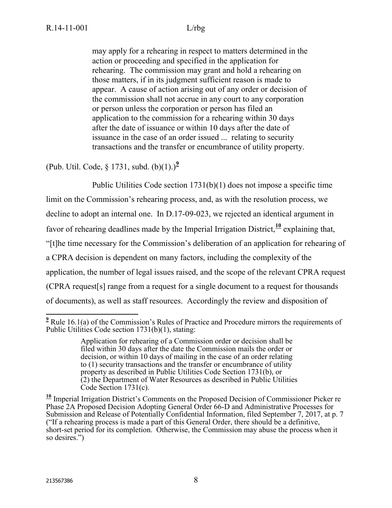may apply for a rehearing in respect to matters determined in the action or proceeding and specified in the application for rehearing. The commission may grant and hold a rehearing on those matters, if in its judgment sufficient reason is made to appear. A cause of action arising out of any order or decision of the commission shall not accrue in any court to any corporation or person unless the corporation or person has filed an application to the commission for a rehearing within 30 days after the date of issuance or within 10 days after the date of issuance in the case of an order issued ... relating to security transactions and the transfer or encumbrance of utility property.

(Pub. Util. Code, § 1731, subd. (b)(1).)**<sup>9</sup>**

Public Utilities Code section 1731(b)(1) does not impose a specific time limit on the Commission's rehearing process, and, as with the resolution process, we decline to adopt an internal one. In D.17-09-023, we rejected an identical argument in favor of rehearing deadlines made by the Imperial Irrigation District,**<sup>10</sup>** explaining that, "[t]he time necessary for the Commission's deliberation of an application for rehearing of a CPRA decision is dependent on many factors, including the complexity of the application, the number of legal issues raised, and the scope of the relevant CPRA request (CPRA request[s] range from a request for a single document to a request for thousands of documents), as well as staff resources. Accordingly the review and disposition of

 $\overline{\phantom{a}}$ <sup>2</sup> Rule 16.1(a) of the Commission's Rules of Practice and Procedure mirrors the requirements of Public Utilities Code section 1731(b)(1), stating:

Application for rehearing of a Commission order or decision shall be filed within 30 days after the date the Commission mails the order or decision, or within 10 days of mailing in the case of an order relating to (1) security transactions and the transfer or encumbrance of utility property as described in Public Utilities Code Section 1731(b), or (2) the Department of Water Resources as described in Public Utilities Code Section 1731(c).

**<sup>10</sup>** Imperial Irrigation District's Comments on the Proposed Decision of Commissioner Picker re Phase 2A Proposed Decision Adopting General Order 66-D and Administrative Processes for Submission and Release of Potentially Confidential Information, filed September 7, 2017, at p. 7 ("If a rehearing process is made a part of this General Order, there should be a definitive, short-set period for its completion. Otherwise, the Commission may abuse the process when it so desires.")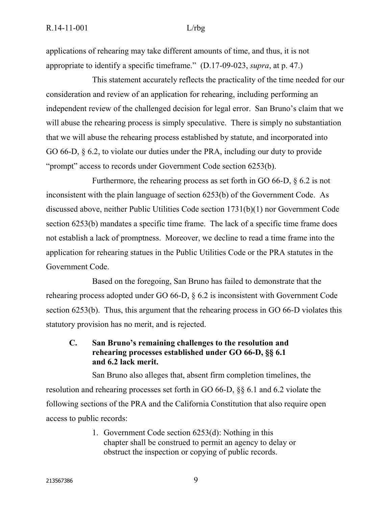applications of rehearing may take different amounts of time, and thus, it is not appropriate to identify a specific timeframe." (D.17-09-023, *supra*, at p. 47.)

This statement accurately reflects the practicality of the time needed for our consideration and review of an application for rehearing, including performing an independent review of the challenged decision for legal error. San Bruno's claim that we will abuse the rehearing process is simply speculative. There is simply no substantiation that we will abuse the rehearing process established by statute, and incorporated into GO 66-D, § 6.2, to violate our duties under the PRA, including our duty to provide "prompt" access to records under Government Code section 6253(b).

Furthermore, the rehearing process as set forth in GO 66-D, § 6.2 is not inconsistent with the plain language of section 6253(b) of the Government Code. As discussed above, neither Public Utilities Code section 1731(b)(1) nor Government Code section 6253(b) mandates a specific time frame. The lack of a specific time frame does not establish a lack of promptness. Moreover, we decline to read a time frame into the application for rehearing statues in the Public Utilities Code or the PRA statutes in the Government Code.

Based on the foregoing, San Bruno has failed to demonstrate that the rehearing process adopted under GO 66-D, § 6.2 is inconsistent with Government Code section 6253(b). Thus, this argument that the rehearing process in GO 66-D violates this statutory provision has no merit, and is rejected.

**C. San Bruno's remaining challenges to the resolution and rehearing processes established under GO 66-D, §§ 6.1 and 6.2 lack merit.**

San Bruno also alleges that, absent firm completion timelines, the resolution and rehearing processes set forth in GO 66-D, §§ 6.1 and 6.2 violate the following sections of the PRA and the California Constitution that also require open access to public records:

> 1. Government Code section 6253(d): Nothing in this chapter shall be construed to permit an agency to delay or obstruct the inspection or copying of public records.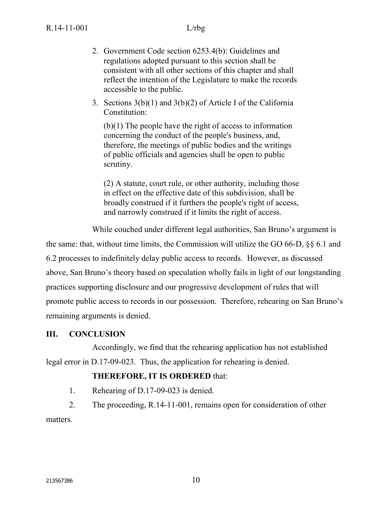- 2. Government Code section 6253.4(b): Guidelines and regulations adopted pursuant to this section shall be consistent with all other sections of this chapter and shall reflect the intention of the Legislature to make the records accessible to the public.
- 3. Sections 3(b)(1) and 3(b)(2) of Article I of the California Constitution:

(b)(1) The people have the right of access to information concerning the conduct of the people's business, and, therefore, the meetings of public bodies and the writings of public officials and agencies shall be open to public scrutiny.

(2) A statute, court rule, or other authority, including those in effect on the effective date of this subdivision, shall be broadly construed if it furthers the people's right of access, and narrowly construed if it limits the right of access.

While couched under different legal authorities, San Bruno's argument is

the same: that, without time limits, the Commission will utilize the GO 66-D, §§ 6.1 and 6.2 processes to indefinitely delay public access to records. However, as discussed above, San Bruno's theory based on speculation wholly fails in light of our longstanding practices supporting disclosure and our progressive development of rules that will promote public access to records in our possession. Therefore, rehearing on San Bruno's remaining arguments is denied.

# **III. CONCLUSION**

Accordingly, we find that the rehearing application has not established legal error in D.17-09-023. Thus, the application for rehearing is denied.

# **THEREFORE, IT IS ORDERED** that:

1. Rehearing of D.17-09-023 is denied.

2. The proceeding, R.14-11-001, remains open for consideration of other matters.